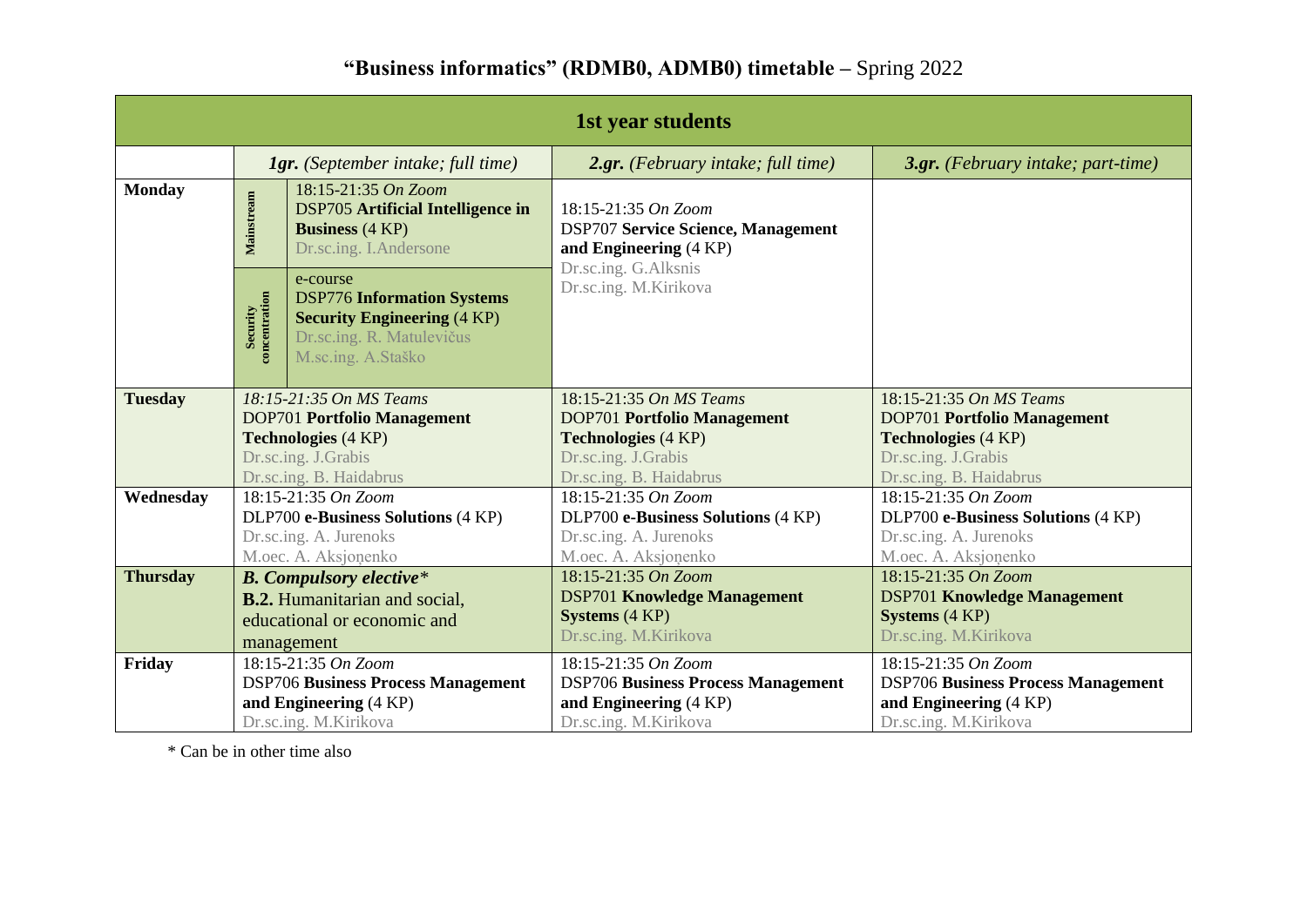## **"Business informatics" (RDMB0, ADMB0) timetable –** Spring 2022

| 1st year students |                                                                                   |                                                                                                                                        |                                                                                                                    |                                                |  |  |  |  |  |
|-------------------|-----------------------------------------------------------------------------------|----------------------------------------------------------------------------------------------------------------------------------------|--------------------------------------------------------------------------------------------------------------------|------------------------------------------------|--|--|--|--|--|
|                   | <b>1gr.</b> (September intake; full time)                                         |                                                                                                                                        | 2.gr. (February intake; full time)                                                                                 | 3.gr. (February intake; part-time)             |  |  |  |  |  |
| <b>Monday</b>     | Mainstream                                                                        | 18:15-21:35 On Zoom<br><b>DSP705 Artificial Intelligence in</b><br><b>Business</b> (4 KP)<br>Dr.sc.ing. I.Andersone                    | 18:15-21:35 On Zoom<br><b>DSP707 Service Science, Management</b><br>and Engineering (4 KP)<br>Dr.sc.ing. G.Alksnis |                                                |  |  |  |  |  |
|                   | Security<br>concentration                                                         | e-course<br><b>DSP776 Information Systems</b><br><b>Security Engineering (4 KP)</b><br>Dr.sc.ing. R. Matulevičus<br>M.sc.ing. A.Staško | Dr.sc.ing. M.Kirikova                                                                                              |                                                |  |  |  |  |  |
| <b>Tuesday</b>    |                                                                                   | 18:15-21:35 On MS Teams                                                                                                                | 18:15-21:35 On MS Teams                                                                                            | 18:15-21:35 On MS Teams                        |  |  |  |  |  |
|                   | <b>DOP701 Portfolio Management</b><br><b>Technologies (4 KP)</b>                  |                                                                                                                                        | <b>DOP701 Portfolio Management</b>                                                                                 | <b>DOP701 Portfolio Management</b>             |  |  |  |  |  |
|                   |                                                                                   |                                                                                                                                        | <b>Technologies</b> (4 KP)                                                                                         | <b>Technologies (4 KP)</b>                     |  |  |  |  |  |
|                   | Dr.sc.ing. J.Grabis<br>Dr.sc.ing. B. Haidabrus                                    |                                                                                                                                        | Dr.sc.ing. J.Grabis<br>Dr.sc.ing. B. Haidabrus                                                                     | Dr.sc.ing. J.Grabis<br>Dr.sc.ing. B. Haidabrus |  |  |  |  |  |
| Wednesday         |                                                                                   | 18:15-21:35 On Zoom                                                                                                                    | 18:15-21:35 On Zoom                                                                                                | 18:15-21:35 On Zoom                            |  |  |  |  |  |
|                   |                                                                                   | DLP700 e-Business Solutions (4 KP)                                                                                                     | DLP700 e-Business Solutions (4 KP)                                                                                 | DLP700 e-Business Solutions (4 KP)             |  |  |  |  |  |
|                   | Dr.sc.ing. A. Jurenoks<br>M.oec. A. Aksjonenko                                    |                                                                                                                                        | Dr.sc.ing. A. Jurenoks                                                                                             | Dr.sc.ing. A. Jurenoks                         |  |  |  |  |  |
|                   |                                                                                   |                                                                                                                                        | M.oec. A. Aksjonenko                                                                                               | M.oec. A. Aksjonenko                           |  |  |  |  |  |
| <b>Thursday</b>   | <b>B.</b> Compulsory elective*                                                    |                                                                                                                                        | 18:15-21:35 On Zoom                                                                                                | 18:15-21:35 On Zoom                            |  |  |  |  |  |
|                   | <b>B.2.</b> Humanitarian and social,<br>educational or economic and<br>management |                                                                                                                                        | <b>DSP701 Knowledge Management</b>                                                                                 | <b>DSP701 Knowledge Management</b>             |  |  |  |  |  |
|                   |                                                                                   |                                                                                                                                        | <b>Systems</b> (4 KP)                                                                                              | <b>Systems</b> (4 KP)                          |  |  |  |  |  |
|                   |                                                                                   |                                                                                                                                        | Dr.sc.ing. M.Kirikova                                                                                              | Dr.sc.ing. M.Kirikova                          |  |  |  |  |  |
| Friday            |                                                                                   | 18:15-21:35 On Zoom                                                                                                                    | 18:15-21:35 On Zoom                                                                                                | 18:15-21:35 On Zoom                            |  |  |  |  |  |
|                   | <b>DSP706 Business Process Management</b>                                         |                                                                                                                                        | <b>DSP706 Business Process Management</b>                                                                          | <b>DSP706 Business Process Management</b>      |  |  |  |  |  |
|                   |                                                                                   | and Engineering (4 KP)                                                                                                                 | and Engineering (4 KP)                                                                                             | and Engineering (4 KP)                         |  |  |  |  |  |
|                   |                                                                                   | Dr.sc.ing. M.Kirikova                                                                                                                  | Dr.sc.ing. M.Kirikova                                                                                              | Dr.sc.ing. M.Kirikova                          |  |  |  |  |  |

\* Can be in other time also